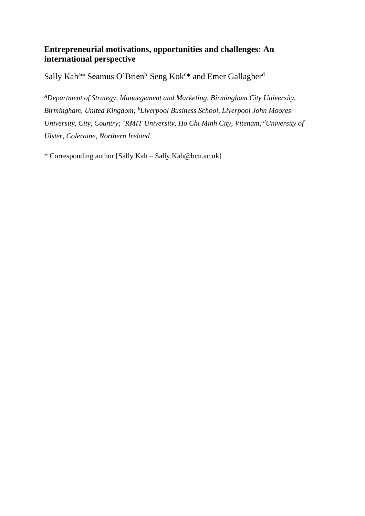# **Entrepreneurial motivations, opportunities and challenges: An international perspective**

Sally Kah<sup>a\*</sup> Seamus O'Brien<sup>b</sup> Seng Kok<sup>c\*</sup> and Emer Gallagher<sup>d</sup>

*<sup>A</sup>Department of Strategy, Manaegement and Marketing, Birmingham City University, Birmingham, United Kingdom; <sup>b</sup>Liverpool Business School, Liverpool John Moores University, City, Country; <sup>c</sup>RMIT University, Ho Chi Minh City, Vitenam; <sup>d</sup>University of Ulster, Coleraine, Northern Ireland*

\* Corresponding author [Sally Kah – Sally.Kah@bcu.ac.uk]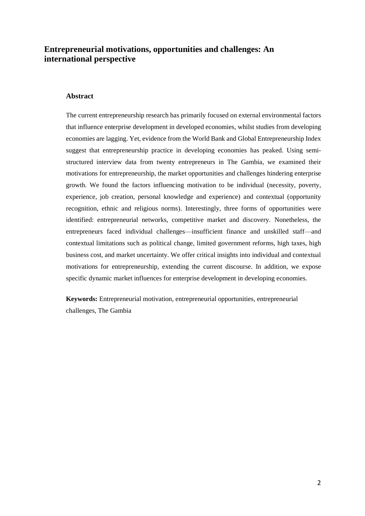# **Entrepreneurial motivations, opportunities and challenges: An international perspective**

#### **Abstract**

The current entrepreneurship research has primarily focused on external environmental factors that influence enterprise development in developed economies, whilst studies from developing economies are lagging. Yet, evidence from the World Bank and Global Entrepreneurship Index suggest that entrepreneurship practice in developing economies has peaked. Using semistructured interview data from twenty entrepreneurs in The Gambia, we examined their motivations for entrepreneurship, the market opportunities and challenges hindering enterprise growth. We found the factors influencing motivation to be individual (necessity, poverty, experience, job creation, personal knowledge and experience) and contextual (opportunity recognition, ethnic and religious norms). Interestingly, three forms of opportunities were identified: entrepreneurial networks, competitive market and discovery. Nonetheless, the entrepreneurs faced individual challenges—insufficient finance and unskilled staff—and contextual limitations such as political change, limited government reforms, high taxes, high business cost, and market uncertainty. We offer critical insights into individual and contextual motivations for entrepreneurship, extending the current discourse. In addition, we expose specific dynamic market influences for enterprise development in developing economies.

**Keywords:** Entrepreneurial motivation, entrepreneurial opportunities, entrepreneurial challenges, The Gambia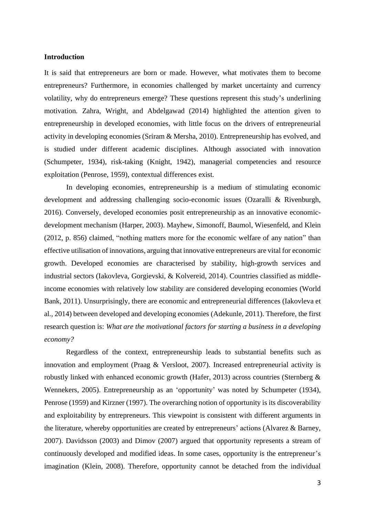#### **Introduction**

It is said that entrepreneurs are born or made. However, what motivates them to become entrepreneurs? Furthermore, in economies challenged by market uncertainty and currency volatility, why do entrepreneurs emerge? These questions represent this study's underlining motivation. Zahra, Wright, and Abdelgawad (2014) highlighted the attention given to entrepreneurship in developed economies, with little focus on the drivers of entrepreneurial activity in developing economies (Sriram & Mersha, 2010). Entrepreneurship has evolved, and is studied under different academic disciplines. Although associated with innovation (Schumpeter, 1934), risk-taking (Knight, 1942), managerial competencies and resource exploitation (Penrose, 1959), contextual differences exist.

In developing economies, entrepreneurship is a medium of stimulating economic development and addressing challenging socio-economic issues (Ozaralli & Rivenburgh, 2016). Conversely, developed economies posit entrepreneurship as an innovative economicdevelopment mechanism (Harper, 2003). Mayhew, Simonoff, Baumol, Wiesenfeld, and Klein (2012, p. 856) claimed, "nothing matters more for the economic welfare of any nation" than effective utilisation of innovations, arguing that innovative entrepreneurs are vital for economic growth. Developed economies are characterised by stability, high-growth services and industrial sectors (Iakovleva, Gorgievski, & Kolvereid, 2014). Countries classified as middleincome economies with relatively low stability are considered developing economies (World Bank, 2011). Unsurprisingly, there are economic and entrepreneurial differences (Iakovleva et al., 2014) between developed and developing economies (Adekunle, 2011). Therefore, the first research question is: *What are the motivational factors for starting a business in a developing economy?*

Regardless of the context, entrepreneurship leads to substantial benefits such as innovation and employment (Praag & Versloot, 2007). Increased entrepreneurial activity is robustly linked with enhanced economic growth (Hafer, 2013) across countries (Sternberg & Wennekers, 2005). Entrepreneurship as an 'opportunity' was noted by Schumpeter (1934), Penrose (1959) and Kirzner (1997). The overarching notion of opportunity is its discoverability and exploitability by entrepreneurs. This viewpoint is consistent with different arguments in the literature, whereby opportunities are created by entrepreneurs' actions (Alvarez & Barney, 2007). Davidsson (2003) and Dimov (2007) argued that opportunity represents a stream of continuously developed and modified ideas. In some cases, opportunity is the entrepreneur's imagination (Klein, 2008). Therefore, opportunity cannot be detached from the individual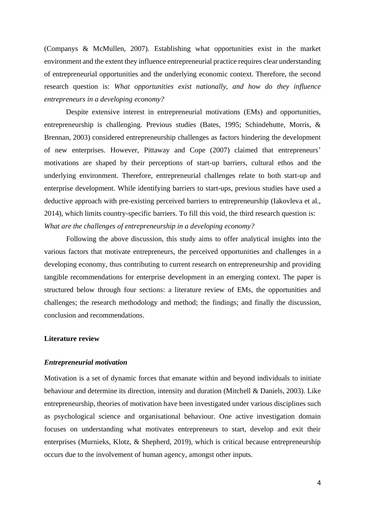(Companys & McMullen, 2007). Establishing what opportunities exist in the market environment and the extent they influence entrepreneurial practice requires clear understanding of entrepreneurial opportunities and the underlying economic context. Therefore, the second research question is: *What opportunities exist nationally, and how do they influence entrepreneurs in a developing economy?*

Despite extensive interest in entrepreneurial motivations (EMs) and opportunities, entrepreneurship is challenging. Previous studies (Bates, 1995; Schindehutte, Morris, & Brennan, 2003) considered entrepreneurship challenges as factors hindering the development of new enterprises. However, Pittaway and Cope (2007) claimed that entrepreneurs' motivations are shaped by their perceptions of start-up barriers, cultural ethos and the underlying environment. Therefore, entrepreneurial challenges relate to both start-up and enterprise development. While identifying barriers to start-ups, previous studies have used a deductive approach with pre-existing perceived barriers to entrepreneurship (Iakovleva et al., 2014), which limits country-specific barriers. To fill this void, the third research question is: *What are the challenges of entrepreneurship in a developing economy?*

Following the above discussion, this study aims to offer analytical insights into the various factors that motivate entrepreneurs, the perceived opportunities and challenges in a developing economy, thus contributing to current research on entrepreneurship and providing tangible recommendations for enterprise development in an emerging context. The paper is structured below through four sections: a literature review of EMs, the opportunities and challenges; the research methodology and method; the findings; and finally the discussion, conclusion and recommendations.

#### **Literature review**

#### *Entrepreneurial motivation*

Motivation is a set of dynamic forces that emanate within and beyond individuals to initiate behaviour and determine its direction, intensity and duration (Mitchell & Daniels, 2003). Like entrepreneurship, theories of motivation have been investigated under various disciplines such as psychological science and organisational behaviour. One active investigation domain focuses on understanding what motivates entrepreneurs to start, develop and exit their enterprises (Murnieks, Klotz, & Shepherd, 2019), which is critical because entrepreneurship occurs due to the involvement of human agency, amongst other inputs.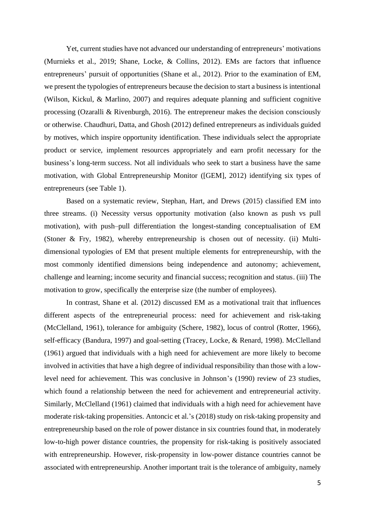Yet, current studies have not advanced our understanding of entrepreneurs' motivations (Murnieks et al., 2019; Shane, Locke, & Collins, 2012). EMs are factors that influence entrepreneurs' pursuit of opportunities (Shane et al., 2012). Prior to the examination of EM, we present the typologies of entrepreneurs because the decision to start a business is intentional (Wilson, Kickul, & Marlino, 2007) and requires adequate planning and sufficient cognitive processing (Ozaralli & Rivenburgh, 2016). The entrepreneur makes the decision consciously or otherwise. Chaudhuri, Datta, and Ghosh (2012) defined entrepreneurs as individuals guided by motives, which inspire opportunity identification. These individuals select the appropriate product or service, implement resources appropriately and earn profit necessary for the business's long-term success. Not all individuals who seek to start a business have the same motivation, with Global Entrepreneurship Monitor ([GEM], 2012) identifying six types of entrepreneurs (see Table 1).

Based on a systematic review, Stephan, Hart, and Drews (2015) classified EM into three streams. (i) Necessity versus opportunity motivation (also known as push vs pull motivation), with push–pull differentiation the longest-standing conceptualisation of EM (Stoner & Fry, 1982), whereby entrepreneurship is chosen out of necessity. (ii) Multidimensional typologies of EM that present multiple elements for entrepreneurship, with the most commonly identified dimensions being independence and autonomy; achievement, challenge and learning; income security and financial success; recognition and status. (iii) The motivation to grow, specifically the enterprise size (the number of employees).

In contrast, Shane et al. (2012) discussed EM as a motivational trait that influences different aspects of the entrepreneurial process: need for achievement and risk-taking (McClelland, 1961), tolerance for ambiguity (Schere, 1982), locus of control (Rotter, 1966), self-efficacy (Bandura, 1997) and goal-setting (Tracey, Locke, & Renard, 1998). McClelland (1961) argued that individuals with a high need for achievement are more likely to become involved in activities that have a high degree of individual responsibility than those with a lowlevel need for achievement. This was conclusive in Johnson's (1990) review of 23 studies, which found a relationship between the need for achievement and entrepreneurial activity. Similarly, McClelland (1961) claimed that individuals with a high need for achievement have moderate risk-taking propensities. Antoncic et al.'s (2018) study on risk-taking propensity and entrepreneurship based on the role of power distance in six countries found that, in moderately low-to-high power distance countries, the propensity for risk-taking is positively associated with entrepreneurship. However, risk-propensity in low-power distance countries cannot be associated with entrepreneurship. Another important trait is the tolerance of ambiguity, namely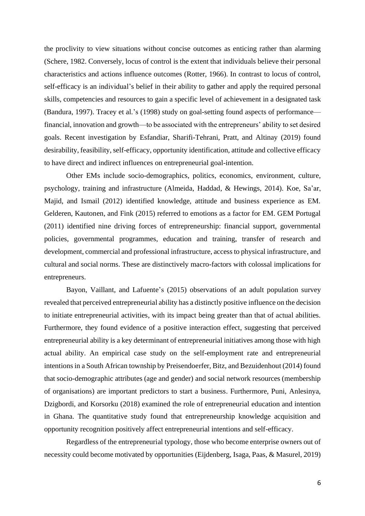the proclivity to view situations without concise outcomes as enticing rather than alarming (Schere, 1982. Conversely, locus of control is the extent that individuals believe their personal characteristics and actions influence outcomes (Rotter, 1966). In contrast to locus of control, self-efficacy is an individual's belief in their ability to gather and apply the required personal skills, competencies and resources to gain a specific level of achievement in a designated task (Bandura, 1997). Tracey et al.'s (1998) study on goal-setting found aspects of performance financial, innovation and growth—to be associated with the entrepreneurs' ability to set desired goals. Recent investigation by Esfandiar, Sharifi-Tehrani, Pratt, and Altinay (2019) found desirability, feasibility, self-efficacy, opportunity identification, attitude and collective efficacy to have direct and indirect influences on entrepreneurial goal-intention.

Other EMs include socio-demographics, politics, economics, environment, culture, psychology, training and infrastructure (Almeida, Haddad, & Hewings, 2014). Koe, Sa'ar, Majid, and Ismail (2012) identified knowledge, attitude and business experience as EM. Gelderen, Kautonen, and Fink (2015) referred to emotions as a factor for EM. GEM Portugal (2011) identified nine driving forces of entrepreneurship: financial support, governmental policies, governmental programmes, education and training, transfer of research and development, commercial and professional infrastructure, access to physical infrastructure, and cultural and social norms. These are distinctively macro-factors with colossal implications for entrepreneurs.

Bayon, Vaillant, and Lafuente's (2015) observations of an adult population survey revealed that perceived entrepreneurial ability has a distinctly positive influence on the decision to initiate entrepreneurial activities, with its impact being greater than that of actual abilities. Furthermore, they found evidence of a positive interaction effect, suggesting that perceived entrepreneurial ability is a key determinant of entrepreneurial initiatives among those with high actual ability. An empirical case study on the self-employment rate and entrepreneurial intentions in a South African township by Preisendoerfer, Bitz, and Bezuidenhout (2014) found that socio-demographic attributes (age and gender) and social network resources (membership of organisations) are important predictors to start a business. Furthermore, Puni, Anlesinya, Dzigbordi, and Korsorku (2018) examined the role of entrepreneurial education and intention in Ghana. The quantitative study found that entrepreneurship knowledge acquisition and opportunity recognition positively affect entrepreneurial intentions and self-efficacy.

Regardless of the entrepreneurial typology, those who become enterprise owners out of necessity could become motivated by opportunities (Eijdenberg, Isaga, Paas, & Masurel, 2019)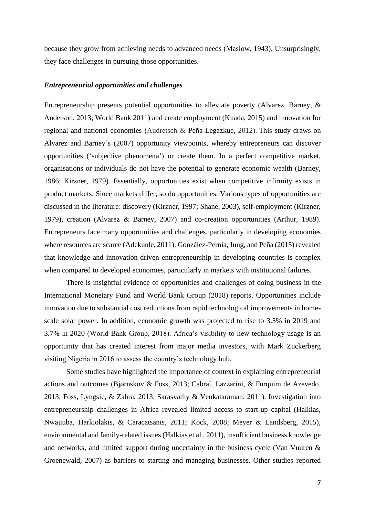because they grow from achieving needs to advanced needs (Maslow, 1943). Unsurprisingly, they face challenges in pursuing those opportunities.

# *Entrepreneurial opportunities and challenges*

Entrepreneurship presents potential opportunities to alleviate poverty (Alvarez, Barney, & Anderson, 2013; World Bank 2011) and create employment (Kuada, 2015) and innovation for regional and national economies (Audretsch & Peña-Legazkue, 2012). This study draws on Alvarez and Barney's (2007) opportunity viewpoints, whereby entrepreneurs can discover opportunities ('subjective phenomena') or create them. In a perfect competitive market, organisations or individuals do not have the potential to generate economic wealth (Barney, 1986; Kirzner, 1979). Essentially, opportunities exist when competitive infirmity exists in product markets. Since markets differ, so do opportunities. Various types of opportunities are discussed in the literature: discovery (Kirzner, 1997; Shane, 2003), self-employment (Kirzner, 1979), creation (Alvarez & Barney, 2007) and co-creation opportunities (Arthur, 1989). Entrepreneurs face many opportunities and challenges, particularly in developing economies where resources are scarce (Adekunle, 2011). González-Pernía, Jung, and Peña (2015) revealed that knowledge and innovation-driven entrepreneurship in developing countries is complex when compared to developed economies, particularly in markets with institutional failures.

There is insightful evidence of opportunities and challenges of doing business in the International Monetary Fund and World Bank Group (2018) reports. Opportunities include innovation due to substantial cost reductions from rapid technological improvements in homescale solar power. In addition, economic growth was projected to rise to 3.5% in 2019 and 3.7% in 2020 (World Bank Group, 2018). Africa's visibility to new technology usage is an opportunity that has created interest from major media investors, with Mark Zuckerberg visiting Nigeria in 2016 to assess the country's technology hub.

Some studies have highlighted the importance of context in explaining entrepreneurial actions and outcomes (Bjørnskov & Foss, 2013; Cabral, Lazzarini, & Furquim de Azevedo, 2013; Foss, Lyngsie, & Zahra, 2013; Sarasvathy & Venkataraman, 2011). Investigation into entrepreneurship challenges in Africa revealed limited access to start-up capital (Halkias, Nwajiuba, Harkiolakis, & Caracatsanis, 2011; Kock, 2008; Meyer & Landsberg, 2015), environmental and family-related issues (Halkias et al., 2011), insufficient business knowledge and networks, and limited support during uncertainty in the business cycle (Van Vuuren & Groenewald, 2007) as barriers to starting and managing businesses. Other studies reported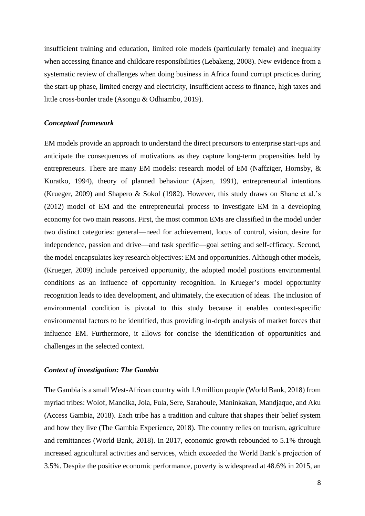insufficient training and education, limited role models (particularly female) and inequality when accessing finance and childcare responsibilities (Lebakeng, 2008). New evidence from a systematic review of challenges when doing business in Africa found corrupt practices during the start-up phase, limited energy and electricity, insufficient access to finance, high taxes and little cross-border trade (Asongu & Odhiambo, 2019).

## *Conceptual framework*

EM models provide an approach to understand the direct precursors to enterprise start-ups and anticipate the consequences of motivations as they capture long-term propensities held by entrepreneurs. There are many EM models: research model of EM (Naffziger, Hornsby, & Kuratko, 1994), theory of planned behaviour (Ajzen, 1991), entrepreneurial intentions (Krueger, 2009) and Shapero & Sokol (1982). However, this study draws on Shane et al.'s (2012) model of EM and the entrepreneurial process to investigate EM in a developing economy for two main reasons. First, the most common EMs are classified in the model under two distinct categories: general—need for achievement, locus of control, vision, desire for independence, passion and drive—and task specific—goal setting and self-efficacy. Second, the model encapsulates key research objectives: EM and opportunities. Although other models, (Krueger, 2009) include perceived opportunity, the adopted model positions environmental conditions as an influence of opportunity recognition. In Krueger's model opportunity recognition leads to idea development, and ultimately, the execution of ideas. The inclusion of environmental condition is pivotal to this study because it enables context-specific environmental factors to be identified, thus providing in-depth analysis of market forces that influence EM. Furthermore, it allows for concise the identification of opportunities and challenges in the selected context.

### *Context of investigation: The Gambia*

The Gambia is a small West-African country with 1.9 million people (World Bank, 2018) from myriad tribes: Wolof, Mandika, Jola, Fula, Sere, Sarahoule, Maninkakan, Mandjaque, and Aku (Access Gambia, 2018). Each tribe has a tradition and culture that shapes their belief system and how they live (The Gambia Experience, 2018). The country relies on tourism, agriculture and remittances (World Bank, 2018). In 2017, economic growth rebounded to 5.1% through increased agricultural activities and services, which exceeded the World Bank's projection of 3.5%. Despite the positive economic performance, poverty is widespread at 48.6% in 2015, an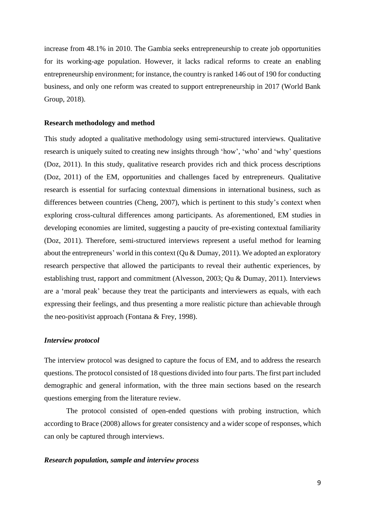increase from 48.1% in 2010. The Gambia seeks entrepreneurship to create job opportunities for its working-age population. However, it lacks radical reforms to create an enabling entrepreneurship environment; for instance, the country is ranked 146 out of 190 for conducting business, and only one reform was created to support entrepreneurship in 2017 (World Bank Group, 2018).

#### **Research methodology and method**

This study adopted a qualitative methodology using semi-structured interviews. Qualitative research is uniquely suited to creating new insights through 'how', 'who' and 'why' questions (Doz, 2011). In this study, qualitative research provides rich and thick process descriptions (Doz, 2011) of the EM, opportunities and challenges faced by entrepreneurs. Qualitative research is essential for surfacing contextual dimensions in international business, such as differences between countries (Cheng, 2007), which is pertinent to this study's context when exploring cross-cultural differences among participants. As aforementioned, EM studies in developing economies are limited, suggesting a paucity of pre-existing contextual familiarity (Doz, 2011). Therefore, semi-structured interviews represent a useful method for learning about the entrepreneurs' world in this context (Qu & Dumay, 2011). We adopted an exploratory research perspective that allowed the participants to reveal their authentic experiences, by establishing trust, rapport and commitment (Alvesson, 2003; Qu & Dumay, 2011). Interviews are a 'moral peak' because they treat the participants and interviewers as equals, with each expressing their feelings, and thus presenting a more realistic picture than achievable through the neo-positivist approach (Fontana & Frey, 1998).

#### *Interview protocol*

The interview protocol was designed to capture the focus of EM, and to address the research questions. The protocol consisted of 18 questions divided into four parts. The first part included demographic and general information, with the three main sections based on the research questions emerging from the literature review.

The protocol consisted of open-ended questions with probing instruction, which according to Brace (2008) allows for greater consistency and a wider scope of responses, which can only be captured through interviews.

#### *Research population, sample and interview process*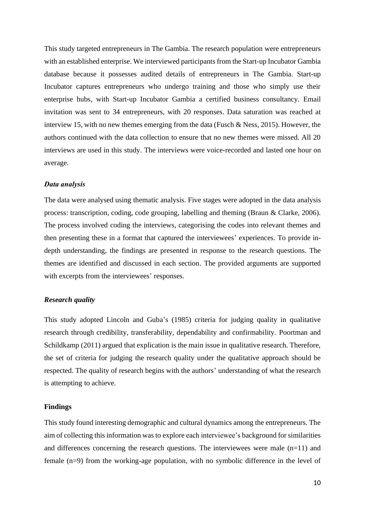This study targeted entrepreneurs in The Gambia. The research population were entrepreneurs with an established enterprise. We interviewed participants from the Start-up Incubator Gambia database because it possesses audited details of entrepreneurs in The Gambia. Start-up Incubator captures entrepreneurs who undergo training and those who simply use their enterprise hubs, with Start-up Incubator Gambia a certified business consultancy. Email invitation was sent to 34 entrepreneurs, with 20 responses. Data saturation was reached at interview 15, with no new themes emerging from the data (Fusch & Ness, 2015). However, the authors continued with the data collection to ensure that no new themes were missed. All 20 interviews are used in this study. The interviews were voice-recorded and lasted one hour on average.

#### *Data analysis*

The data were analysed using thematic analysis. Five stages were adopted in the data analysis process: transcription, coding, code grouping, labelling and theming (Braun & Clarke, 2006). The process involved coding the interviews, categorising the codes into relevant themes and then presenting these in a format that captured the interviewees' experiences. To provide indepth understanding, the findings are presented in response to the research questions. The themes are identified and discussed in each section. The provided arguments are supported with excerpts from the interviewees' responses.

### *Research quality*

This study adopted Lincoln and Guba's (1985) criteria for judging quality in qualitative research through credibility, transferability, dependability and confirmability. Poortman and Schildkamp (2011) argued that explication is the main issue in qualitative research. Therefore, the set of criteria for judging the research quality under the qualitative approach should be respected. The quality of research begins with the authors' understanding of what the research is attempting to achieve.

## **Findings**

This study found interesting demographic and cultural dynamics among the entrepreneurs. The aim of collecting this information was to explore each interviewee's background for similarities and differences concerning the research questions. The interviewees were male  $(n=11)$  and female (n=9) from the working-age population, with no symbolic difference in the level of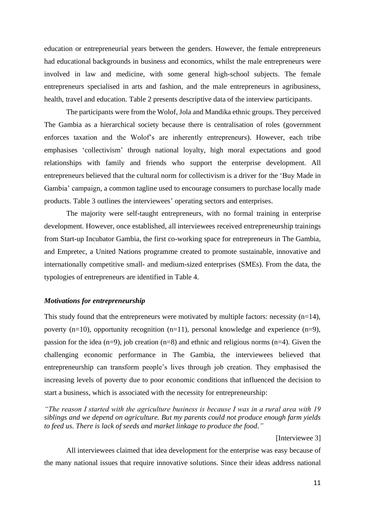education or entrepreneurial years between the genders. However, the female entrepreneurs had educational backgrounds in business and economics, whilst the male entrepreneurs were involved in law and medicine, with some general high-school subjects. The female entrepreneurs specialised in arts and fashion, and the male entrepreneurs in agribusiness, health, travel and education. Table 2 presents descriptive data of the interview participants.

The participants were from the Wolof, Jola and Mandika ethnic groups. They perceived The Gambia as a hierarchical society because there is centralisation of roles (government enforces taxation and the Wolof's are inherently entrepreneurs). However, each tribe emphasises 'collectivism' through national loyalty, high moral expectations and good relationships with family and friends who support the enterprise development. All entrepreneurs believed that the cultural norm for collectivism is a driver for the 'Buy Made in Gambia' campaign, a common tagline used to encourage consumers to purchase locally made products. Table 3 outlines the interviewees' operating sectors and enterprises.

The majority were self-taught entrepreneurs, with no formal training in enterprise development. However, once established, all interviewees received entrepreneurship trainings from Start-up Incubator Gambia, the first co-working space for entrepreneurs in The Gambia, and Empretec, a United Nations programme created to promote sustainable, innovative and internationally competitive small- and medium-sized enterprises (SMEs). From the data, the typologies of entrepreneurs are identified in Table 4.

#### *Motivations for entrepreneurship*

This study found that the entrepreneurs were motivated by multiple factors: necessity  $(n=14)$ , poverty (n=10), opportunity recognition (n=11), personal knowledge and experience (n=9), passion for the idea (n=9), job creation (n=8) and ethnic and religious norms (n=4). Given the challenging economic performance in The Gambia, the interviewees believed that entrepreneurship can transform people's lives through job creation. They emphasised the increasing levels of poverty due to poor economic conditions that influenced the decision to start a business, which is associated with the necessity for entrepreneurship:

*"The reason I started with the agriculture business is because I was in a rural area with 19 siblings and we depend on agriculture. But my parents could not produce enough farm yields to feed us. There is lack of seeds and market linkage to produce the food."*

#### [Interviewee 3]

All interviewees claimed that idea development for the enterprise was easy because of the many national issues that require innovative solutions. Since their ideas address national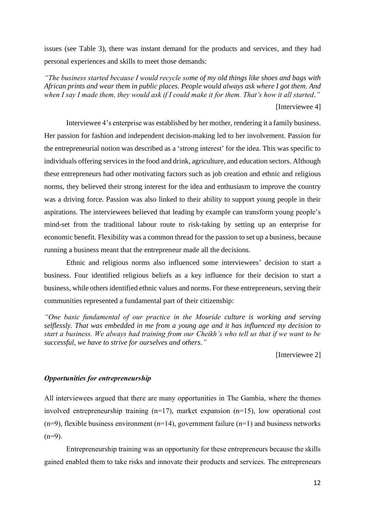issues (see Table 3), there was instant demand for the products and services, and they had personal experiences and skills to meet those demands:

*"The business started because I would recycle some of my old things like shoes and bags with African prints and wear them in public places. People would always ask where I got them. And when I say I made them, they would ask if I could make it for them. That's how it all started."* [Interviewee 4]

Interviewee 4's enterprise was established by her mother, rendering it a family business. Her passion for fashion and independent decision-making led to her involvement. Passion for the entrepreneurial notion was described as a 'strong interest' for the idea. This was specific to individuals offering services in the food and drink, agriculture, and education sectors. Although these entrepreneurs had other motivating factors such as job creation and ethnic and religious norms, they believed their strong interest for the idea and enthusiasm to improve the country was a driving force. Passion was also linked to their ability to support young people in their aspirations. The interviewees believed that leading by example can transform young people's mind-set from the traditional labour route to risk-taking by setting up an enterprise for economic benefit. Flexibility was a common thread for the passion to set up a business, because running a business meant that the entrepreneur made all the decisions.

Ethnic and religious norms also influenced some interviewees' decision to start a business. Four identified religious beliefs as a key influence for their decision to start a business, while others identified ethnic values and norms. For these entrepreneurs, serving their communities represented a fundamental part of their citizenship:

*"One basic fundamental of our practice in the Mouride culture is working and serving selflessly. That was embedded in me from a young age and it has influenced my decision to start a business. We always had training from our Cheikh's who tell us that if we want to be successful, we have to strive for ourselves and others."*

[Interviewee 2]

### *Opportunities for entrepreneurship*

All interviewees argued that there are many opportunities in The Gambia, where the themes involved entrepreneurship training (n=17), market expansion (n=15), low operational cost  $(n=9)$ , flexible business environment  $(n=14)$ , government failure  $(n=1)$  and business networks  $(n=9)$ .

Entrepreneurship training was an opportunity for these entrepreneurs because the skills gained enabled them to take risks and innovate their products and services. The entrepreneurs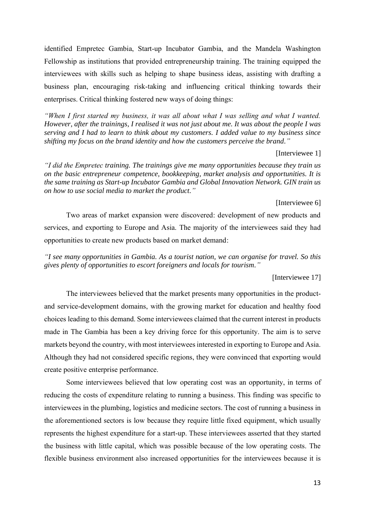identified Empretec Gambia, Start-up Incubator Gambia, and the Mandela Washington Fellowship as institutions that provided entrepreneurship training. The training equipped the interviewees with skills such as helping to shape business ideas, assisting with drafting a business plan, encouraging risk-taking and influencing critical thinking towards their enterprises. Critical thinking fostered new ways of doing things:

*"When I first started my business, it was all about what I was selling and what I wanted. However, after the trainings, I realised it was not just about me. It was about the people I was serving and I had to learn to think about my customers. I added value to my business since shifting my focus on the brand identity and how the customers perceive the brand."*

## [Interviewee 1]

*"I did the Empretec training. The trainings give me many opportunities because they train us on the basic entrepreneur competence, bookkeeping, market analysis and opportunities. It is the same training as Start-up Incubator Gambia and Global Innovation Network. GIN train us on how to use social media to market the product."*

#### [Interviewee 6]

Two areas of market expansion were discovered: development of new products and services, and exporting to Europe and Asia. The majority of the interviewees said they had opportunities to create new products based on market demand:

*"I see many opportunities in Gambia. As a tourist nation, we can organise for travel. So this gives plenty of opportunities to escort foreigners and locals for tourism."*

## [Interviewee 17]

The interviewees believed that the market presents many opportunities in the productand service-development domains, with the growing market for education and healthy food choices leading to this demand. Some interviewees claimed that the current interest in products made in The Gambia has been a key driving force for this opportunity. The aim is to serve markets beyond the country, with most interviewees interested in exporting to Europe and Asia. Although they had not considered specific regions, they were convinced that exporting would create positive enterprise performance.

Some interviewees believed that low operating cost was an opportunity, in terms of reducing the costs of expenditure relating to running a business. This finding was specific to interviewees in the plumbing, logistics and medicine sectors. The cost of running a business in the aforementioned sectors is low because they require little fixed equipment, which usually represents the highest expenditure for a start-up. These interviewees asserted that they started the business with little capital, which was possible because of the low operating costs. The flexible business environment also increased opportunities for the interviewees because it is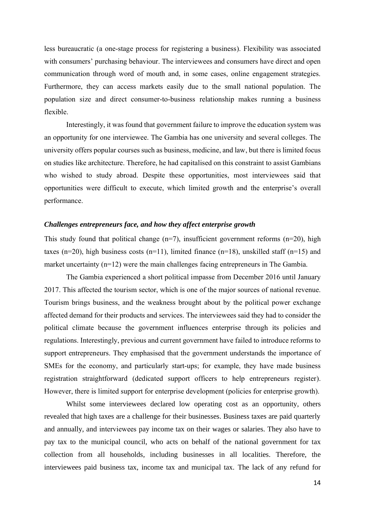less bureaucratic (a one-stage process for registering a business). Flexibility was associated with consumers' purchasing behaviour. The interviewees and consumers have direct and open communication through word of mouth and, in some cases, online engagement strategies. Furthermore, they can access markets easily due to the small national population. The population size and direct consumer-to-business relationship makes running a business flexible.

Interestingly, it was found that government failure to improve the education system was an opportunity for one interviewee. The Gambia has one university and several colleges. The university offers popular courses such as business, medicine, and law, but there is limited focus on studies like architecture. Therefore, he had capitalised on this constraint to assist Gambians who wished to study abroad. Despite these opportunities, most interviewees said that opportunities were difficult to execute, which limited growth and the enterprise's overall performance.

## *Challenges entrepreneurs face, and how they affect enterprise growth*

This study found that political change  $(n=7)$ , insufficient government reforms  $(n=20)$ , high taxes (n=20), high business costs (n=11), limited finance (n=18), unskilled staff (n=15) and market uncertainty (n=12) were the main challenges facing entrepreneurs in The Gambia.

The Gambia experienced a short political impasse from December 2016 until January 2017. This affected the tourism sector, which is one of the major sources of national revenue. Tourism brings business, and the weakness brought about by the political power exchange affected demand for their products and services. The interviewees said they had to consider the political climate because the government influences enterprise through its policies and regulations. Interestingly, previous and current government have failed to introduce reforms to support entrepreneurs. They emphasised that the government understands the importance of SMEs for the economy, and particularly start-ups; for example, they have made business registration straightforward (dedicated support officers to help entrepreneurs register). However, there is limited support for enterprise development (policies for enterprise growth).

Whilst some interviewees declared low operating cost as an opportunity, others revealed that high taxes are a challenge for their businesses. Business taxes are paid quarterly and annually, and interviewees pay income tax on their wages or salaries. They also have to pay tax to the municipal council, who acts on behalf of the national government for tax collection from all households, including businesses in all localities. Therefore, the interviewees paid business tax, income tax and municipal tax. The lack of any refund for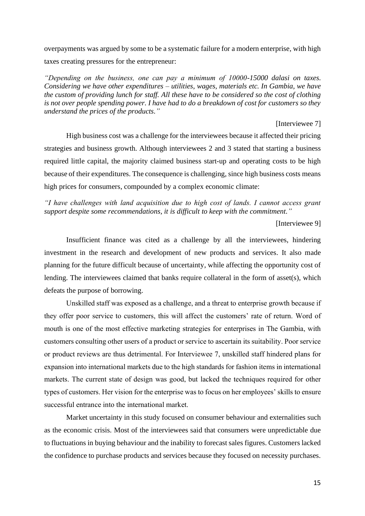overpayments was argued by some to be a systematic failure for a modern enterprise, with high taxes creating pressures for the entrepreneur:

*"Depending on the business, one can pay a minimum of 10000-15000 dalasi on taxes. Considering we have other expenditures – utilities, wages, materials etc. In Gambia, we have the custom of providing lunch for staff. All these have to be considered so the cost of clothing is not over people spending power. I have had to do a breakdown of cost for customers so they understand the prices of the products."*

### [Interviewee 7]

High business cost was a challenge for the interviewees because it affected their pricing strategies and business growth. Although interviewees 2 and 3 stated that starting a business required little capital, the majority claimed business start-up and operating costs to be high because of their expenditures. The consequence is challenging, since high business costs means high prices for consumers, compounded by a complex economic climate:

*"I have challenges with land acquisition due to high cost of lands. I cannot access grant support despite some recommendations, it is difficult to keep with the commitment."*

[Interviewee 9]

Insufficient finance was cited as a challenge by all the interviewees, hindering investment in the research and development of new products and services. It also made planning for the future difficult because of uncertainty, while affecting the opportunity cost of lending. The interviewees claimed that banks require collateral in the form of asset(s), which defeats the purpose of borrowing.

Unskilled staff was exposed as a challenge, and a threat to enterprise growth because if they offer poor service to customers, this will affect the customers' rate of return. Word of mouth is one of the most effective marketing strategies for enterprises in The Gambia, with customers consulting other users of a product or service to ascertain its suitability. Poor service or product reviews are thus detrimental. For Interviewee 7, unskilled staff hindered plans for expansion into international markets due to the high standards for fashion items in international markets. The current state of design was good, but lacked the techniques required for other types of customers. Her vision for the enterprise was to focus on her employees' skills to ensure successful entrance into the international market.

Market uncertainty in this study focused on consumer behaviour and externalities such as the economic crisis. Most of the interviewees said that consumers were unpredictable due to fluctuations in buying behaviour and the inability to forecast sales figures. Customers lacked the confidence to purchase products and services because they focused on necessity purchases.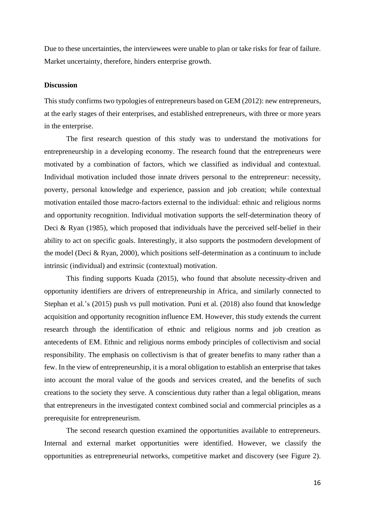Due to these uncertainties, the interviewees were unable to plan or take risks for fear of failure. Market uncertainty, therefore, hinders enterprise growth.

## **Discussion**

This study confirms two typologies of entrepreneurs based on GEM (2012): new entrepreneurs, at the early stages of their enterprises, and established entrepreneurs, with three or more years in the enterprise.

The first research question of this study was to understand the motivations for entrepreneurship in a developing economy. The research found that the entrepreneurs were motivated by a combination of factors, which we classified as individual and contextual. Individual motivation included those innate drivers personal to the entrepreneur: necessity, poverty, personal knowledge and experience, passion and job creation; while contextual motivation entailed those macro-factors external to the individual: ethnic and religious norms and opportunity recognition. Individual motivation supports the self-determination theory of Deci & Ryan (1985), which proposed that individuals have the perceived self-belief in their ability to act on specific goals. Interestingly, it also supports the postmodern development of the model (Deci & Ryan, 2000), which positions self-determination as a continuum to include intrinsic (individual) and extrinsic (contextual) motivation.

This finding supports Kuada (2015), who found that absolute necessity-driven and opportunity identifiers are drivers of entrepreneurship in Africa, and similarly connected to Stephan et al.'s (2015) push vs pull motivation. Puni et al. (2018) also found that knowledge acquisition and opportunity recognition influence EM. However, this study extends the current research through the identification of ethnic and religious norms and job creation as antecedents of EM. Ethnic and religious norms embody principles of collectivism and social responsibility. The emphasis on collectivism is that of greater benefits to many rather than a few. In the view of entrepreneurship, it is a moral obligation to establish an enterprise that takes into account the moral value of the goods and services created, and the benefits of such creations to the society they serve. A conscientious duty rather than a legal obligation, means that entrepreneurs in the investigated context combined social and commercial principles as a prerequisite for entrepreneurism.

The second research question examined the opportunities available to entrepreneurs. Internal and external market opportunities were identified. However, we classify the opportunities as entrepreneurial networks, competitive market and discovery (see Figure 2).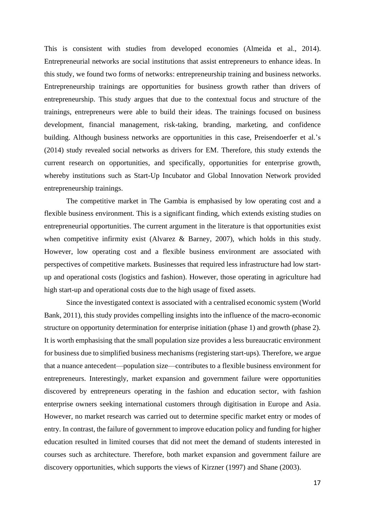This is consistent with studies from developed economies (Almeida et al., 2014). Entrepreneurial networks are social institutions that assist entrepreneurs to enhance ideas. In this study, we found two forms of networks: entrepreneurship training and business networks. Entrepreneurship trainings are opportunities for business growth rather than drivers of entrepreneurship. This study argues that due to the contextual focus and structure of the trainings, entrepreneurs were able to build their ideas. The trainings focused on business development, financial management, risk-taking, branding, marketing, and confidence building. Although business networks are opportunities in this case, Preisendoerfer et al.'s (2014) study revealed social networks as drivers for EM. Therefore, this study extends the current research on opportunities, and specifically, opportunities for enterprise growth, whereby institutions such as Start-Up Incubator and Global Innovation Network provided entrepreneurship trainings.

The competitive market in The Gambia is emphasised by low operating cost and a flexible business environment. This is a significant finding, which extends existing studies on entrepreneurial opportunities. The current argument in the literature is that opportunities exist when competitive infirmity exist (Alvarez & Barney, 2007), which holds in this study. However, low operating cost and a flexible business environment are associated with perspectives of competitive markets. Businesses that required less infrastructure had low startup and operational costs (logistics and fashion). However, those operating in agriculture had high start-up and operational costs due to the high usage of fixed assets.

Since the investigated context is associated with a centralised economic system (World Bank, 2011), this study provides compelling insights into the influence of the macro-economic structure on opportunity determination for enterprise initiation (phase 1) and growth (phase 2). It is worth emphasising that the small population size provides a less bureaucratic environment for business due to simplified business mechanisms (registering start-ups). Therefore, we argue that a nuance antecedent—population size—contributes to a flexible business environment for entrepreneurs. Interestingly, market expansion and government failure were opportunities discovered by entrepreneurs operating in the fashion and education sector, with fashion enterprise owners seeking international customers through digitisation in Europe and Asia. However, no market research was carried out to determine specific market entry or modes of entry. In contrast, the failure of government to improve education policy and funding for higher education resulted in limited courses that did not meet the demand of students interested in courses such as architecture. Therefore, both market expansion and government failure are discovery opportunities, which supports the views of Kirzner (1997) and Shane (2003).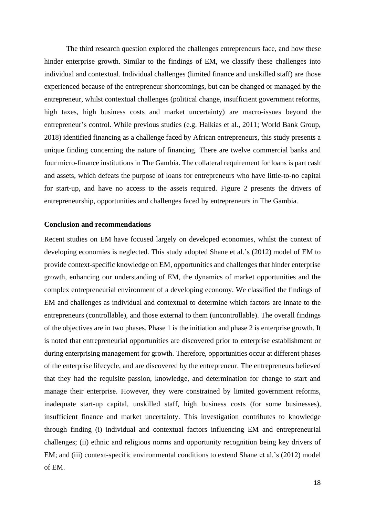The third research question explored the challenges entrepreneurs face, and how these hinder enterprise growth. Similar to the findings of EM, we classify these challenges into individual and contextual. Individual challenges (limited finance and unskilled staff) are those experienced because of the entrepreneur shortcomings, but can be changed or managed by the entrepreneur, whilst contextual challenges (political change, insufficient government reforms, high taxes, high business costs and market uncertainty) are macro-issues beyond the entrepreneur's control. While previous studies (e.g. Halkias et al., 2011; World Bank Group, 2018) identified financing as a challenge faced by African entrepreneurs, this study presents a unique finding concerning the nature of financing. There are twelve commercial banks and four micro-finance institutions in The Gambia. The collateral requirement for loans is part cash and assets, which defeats the purpose of loans for entrepreneurs who have little-to-no capital for start-up, and have no access to the assets required. Figure 2 presents the drivers of entrepreneurship, opportunities and challenges faced by entrepreneurs in The Gambia.

## **Conclusion and recommendations**

Recent studies on EM have focused largely on developed economies, whilst the context of developing economies is neglected. This study adopted Shane et al.'s (2012) model of EM to provide context-specific knowledge on EM, opportunities and challenges that hinder enterprise growth, enhancing our understanding of EM, the dynamics of market opportunities and the complex entrepreneurial environment of a developing economy. We classified the findings of EM and challenges as individual and contextual to determine which factors are innate to the entrepreneurs (controllable), and those external to them (uncontrollable). The overall findings of the objectives are in two phases. Phase 1 is the initiation and phase 2 is enterprise growth. It is noted that entrepreneurial opportunities are discovered prior to enterprise establishment or during enterprising management for growth. Therefore, opportunities occur at different phases of the enterprise lifecycle, and are discovered by the entrepreneur. The entrepreneurs believed that they had the requisite passion, knowledge, and determination for change to start and manage their enterprise. However, they were constrained by limited government reforms, inadequate start-up capital, unskilled staff, high business costs (for some businesses), insufficient finance and market uncertainty. This investigation contributes to knowledge through finding (i) individual and contextual factors influencing EM and entrepreneurial challenges; (ii) ethnic and religious norms and opportunity recognition being key drivers of EM; and (iii) context-specific environmental conditions to extend Shane et al.'s (2012) model of EM.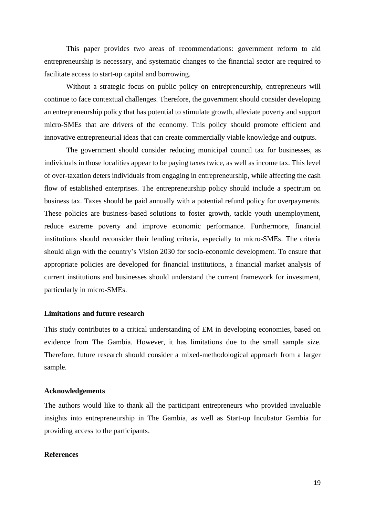This paper provides two areas of recommendations: government reform to aid entrepreneurship is necessary, and systematic changes to the financial sector are required to facilitate access to start-up capital and borrowing.

Without a strategic focus on public policy on entrepreneurship, entrepreneurs will continue to face contextual challenges. Therefore, the government should consider developing an entrepreneurship policy that has potential to stimulate growth, alleviate poverty and support micro-SMEs that are drivers of the economy. This policy should promote efficient and innovative entrepreneurial ideas that can create commercially viable knowledge and outputs.

The government should consider reducing municipal council tax for businesses, as individuals in those localities appear to be paying taxes twice, as well as income tax. This level of over-taxation deters individuals from engaging in entrepreneurship, while affecting the cash flow of established enterprises. The entrepreneurship policy should include a spectrum on business tax. Taxes should be paid annually with a potential refund policy for overpayments. These policies are business-based solutions to foster growth, tackle youth unemployment, reduce extreme poverty and improve economic performance. Furthermore, financial institutions should reconsider their lending criteria, especially to micro-SMEs. The criteria should align with the country's Vision 2030 for socio-economic development. To ensure that appropriate policies are developed for financial institutions, a financial market analysis of current institutions and businesses should understand the current framework for investment, particularly in micro-SMEs.

#### **Limitations and future research**

This study contributes to a critical understanding of EM in developing economies, based on evidence from The Gambia. However, it has limitations due to the small sample size. Therefore, future research should consider a mixed-methodological approach from a larger sample.

#### **Acknowledgements**

The authors would like to thank all the participant entrepreneurs who provided invaluable insights into entrepreneurship in The Gambia, as well as Start-up Incubator Gambia for providing access to the participants.

## **References**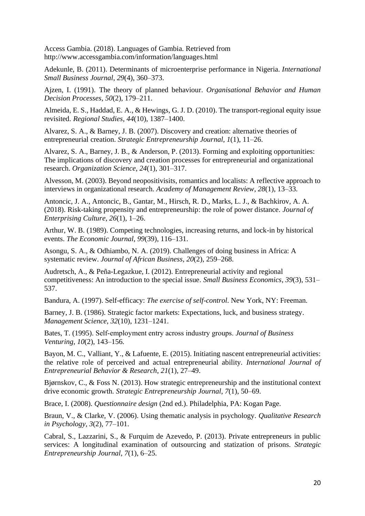Access Gambia. (2018). Languages of Gambia. Retrieved from <http://www.accessgambia.com/information/languages.html>

Adekunle, B. (2011). Determinants of microenterprise performance in Nigeria. *International Small Business Journal*, *29*(4), 360–373.

Ajzen, I. (1991). The theory of planned behaviour. *Organisational Behavior and Human Decision Processes*, *50*(2), 179–211.

Almeida, E. S., Haddad, E. A., & Hewings, G. J. D. (2010). The transport-regional equity issue revisited. *Regional Studies*, *44*(10), 1387–1400.

Alvarez, S. A., & Barney, J. B. (2007). Discovery and creation: alternative theories of entrepreneurial creation. *Strategic Entrepreneurship Journal*, *1*(1), 11–26.

Alvarez, S. A., Barney, J. B., & Anderson, P. (2013). Forming and exploiting opportunities: The implications of discovery and creation processes for entrepreneurial and organizational research. *Organization Science*, *24*(1), 301–317.

Alvesson, M. (2003). Beyond neopositivisits, romantics and localists: A reflective approach to interviews in organizational research. *Academy of Management Review*, *28*(1), 13–33.

Antoncic, J. A., Antoncic, B., Gantar, M., Hirsch, R. D., Marks, L. J., & Bachkirov, A. A. (2018). Risk-taking propensity and entrepreneurship: the role of power distance. *Journal of Enterprising Culture*, *26*(1), 1–26.

Arthur, W. B. (1989). Competing technologies, increasing returns, and lock-in by historical events. *The Economic Journal*, *99*(39), 116–131.

Asongu, S. A., & Odhiambo, N. A. (2019). Challenges of doing business in Africa: A systematic review. *Journal of African Business*, *20*(2), 259–268.

Audretsch, A., & Peña-Legazkue, I. (2012). Entrepreneurial activity and regional competitiveness: An introduction to the special issue. *Small Business Economics*, *39*(3), 531– 537.

Bandura, A. (1997). Self-efficacy: *The exercise of self-control*. New York, NY: Freeman.

Barney, J. B. (1986). Strategic factor markets: Expectations, luck, and business strategy. *Management Science*, *32*(10), 1231–1241.

Bates, T. (1995). Self‐employment entry across industry groups. *Journal of Business Venturing*, *10*(2), 143–156.

Bayon, M. C., Valliant, Y., & Lafuente, E. (2015). Initiating nascent entrepreneurial activities: the relative role of perceived and actual entrepreneurial ability. *International Journal of Entrepreneurial Behavior & Research*, *21*(1), 27–49.

Bjørnskov, C., & Foss N. (2013). How strategic entrepreneurship and the institutional context drive economic growth. *Strategic Entrepreneurship Journal*, *7*(1), 50–69.

Brace, I. (2008). *Questionnaire design* (2nd ed.). Philadelphia, PA: Kogan Page.

Braun, V., & Clarke, V. (2006). Using thematic analysis in psychology. *Qualitative Research in Psychology*, *3*(2), 77–101.

Cabral, S., Lazzarini, S., & Furquim de Azevedo, P. (2013). Private entrepreneurs in public services: A longitudinal examination of outsourcing and statization of prisons. *Strategic Entrepreneurship Journal*, *7*(1), 6–25.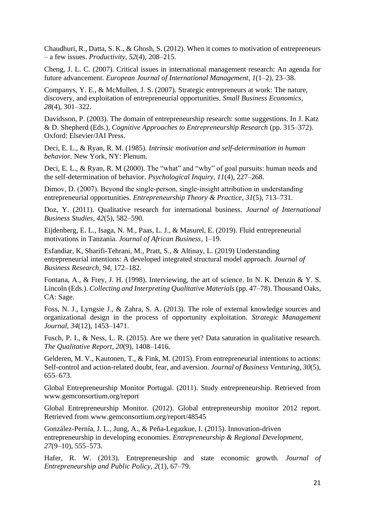Chaudhuri, R., Datta, S. K., & Ghosh, S. (2012). When it comes to motivation of entrepreneurs – a few issues. *Productivity*, *52*(4), 208–215.

Cheng, J. L. C. (2007). Critical issues in international management research: An agenda for future advancement. *European Journal of International Management*, *1*(1–2), 23–38.

Companys, Y. E., & McMullen, J. S. (2007). Strategic entrepreneurs at work: The nature, discovery, and exploitation of entrepreneurial opportunities. *Small Business Economics*, *28*(4), 301–322.

Davidsson, P. (2003). The domain of entrepreneurship research: some suggestions. In J. Katz & D. Shepherd (Eds.), *Cognitive Approaches to Entrepreneurship Research* (pp. 315–372). Oxford: Elsevier/JAI Press.

Deci, E. L., & Ryan, R. M. (1985). *Intrinsic motivation and self-determination in human behavior*. New York, NY: Plenum.

Deci, E. L., & Ryan, R. M (2000). The "what" and "why" of goal pursuits: human needs and the self-determination of behavior. *Psychological Inquiry*, *11*(4), 227–268.

Dimov, D. (2007). Beyond the single-person, single-insight attribution in understanding entrepreneurial opportunities. *Entrepreneurship Theory & Practice*, *31*(5), 713–731.

Doz, Y. (2011). Qualitative research for international business. *Journal of International Business Studies*, *42*(5), 582–590.

Eijdenberg, E. L., Isaga, N. M., Paas, L. J., & Masurel, E. (2019). Fluid entrepreneurial motivations in Tanzania. *Journal of African Business*, 1–19.

Esfandiar, K, Sharifi-Tehrani, M., Pratt, S., & Altinay, L. (2019) Understanding entrepreneurial intentions: A developed integrated structural model approach. *Journal of Business Research*, *94*, 172–182.

Fontana, A., & Frey, J. H. (1998). Interviewing, the art of science. In N. K. Denzin & Y. S. Lincoln (Eds.). *Collecting and Interpreting Qualitative Materials* (pp. 47–78). Thousand Oaks, CA: Sage.

Foss, N. J., Lyngsie J., & Zahra, S. A. (2013). The role of external knowledge sources and organizational design in the process of opportunity exploitation. *Strategic Management Journal*, *34*(12), 1453–1471.

Fusch, P. I., & Ness, L. R. (2015). Are we there yet? Data saturation in qualitative research. *The Qualitative Report*, *20*(9), 1408–1416.

Gelderen, M. V., Kautonen, T., & Fink, M. (2015). From entrepreneurial intentions to actions: Self-control and action-related doubt, fear, and aversion. *Journal of Business Venturing*, *30*(5), 655–673.

Global Entrepreneurship Monitor Portugal. (2011). Study entrepreneurship. Retrieved from [www.gemconsortium.org/report](https://www.gemconsortium.org/report)

Global Entrepreneurship Monitor. (2012). Global entrepreneurship monitor 2012 report. Retrieved from [www.gemconsortium.org/report/48545](https://www.gemconsortium.org/report/48545)

González-Pernía, J. L., Jung, A., & Peña-Legazkue, I. (2015). Innovation-driven entrepreneurship in developing economies. *Entrepreneurship & Regional Development*, *27*(9–10), 555–573.

Hafer, R. W. (2013). Entrepreneurship and state economic growth. *Journal of Entrepreneurship and Public Policy*, *2*(1), 67–79.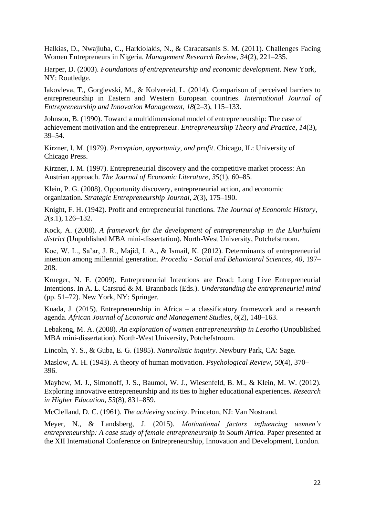Halkias, D., Nwajiuba, C., Harkiolakis, N., & Caracatsanis S. M. (2011). Challenges Facing Women Entrepreneurs in Nigeria. *Management Research Review*, *34*(2), 221–235.

Harper, D. (2003). *Foundations of entrepreneurship and economic development*. New York, NY: Routledge.

Iakovleva, T., Gorgievski, M., & Kolvereid, L. (2014). Comparison of perceived barriers to entrepreneurship in Eastern and Western European countries. *International Journal of Entrepreneurship and Innovation Management*, *18*(2–3), 115–133.

Johnson, B. (1990). Toward a multidimensional model of entrepreneurship: The case of achievement motivation and the entrepreneur. *Entrepreneurship Theory and Practice*, *14*(3), 39–54.

Kirzner, I. M. (1979). *Perception, opportunity, and profit*. Chicago, IL: University of Chicago Press.

Kirzner, I. M. (1997). Entrepreneurial discovery and the competitive market process: An Austrian approach. *The Journal of Economic Literature*, *35*(1), 60–85.

Klein, P. G. (2008). Opportunity discovery, entrepreneurial action, and economic organization. *Strategic Entrepreneurship Journal*, *2*(3), 175–190.

Knight, F. H. (1942). Profit and entrepreneurial functions. *The Journal of Economic History*, *2*(s.1), 126–132.

Kock, A. (2008). *A framework for the development of entrepreneurship in the Ekurhuleni district* (Unpublished MBA mini-dissertation). North-West University, Potchefstroom.

Koe, W. L., Sa'ar, J. R., Majid, I. A., & Ismail, K. (2012). Determinants of entrepreneurial intention among millennial generation. *Procedia - Social and Behavioural Sciences*, *40*, 197– 208.

Krueger, N. F. (2009). Entrepreneurial Intentions are Dead: Long Live Entrepreneurial Intentions. In A. L. Carsrud & M. Brannback (Eds.). *Understanding the entrepreneurial mind* (pp. 51–72). New York, NY: Springer.

[Kuada,](https://www.emeraldinsight.com/author/Kuada%2C+John) J. (2015). Entrepreneurship in Africa – a classificatory framework and a research agenda. *African Journal of Economic and Management Studies*, *6*(2), 148–163.

Lebakeng, M. A. (2008). *An exploration of women entrepreneurship in Lesotho* (Unpublished MBA mini-dissertation). North-West University, Potchefstroom.

Lincoln, Y. S., & Guba, E. G. (1985). *[Naturalistic inquiry](http://books.google.com/books?hl=en&lr=&id=2oA9aWlNeooC&oi=fnd&pg=PA5&sig=GoKaBo0eIoPy4qeqRyuozZo1CqM&dq=naturalistic+inquiry&prev=http://scholar.google.com/scholar%3Fq%3Dnaturalistic%2Binquiry%26num%3D100%26hl%3Den%26lr%3D)*. Newbury Park, CA: Sage.

Maslow, A. H. (1943). A theory of human motivation. *Psychological Review*, *50*(4), 370– 396.

Mayhew, M. J., Simonoff, J. S., Baumol, W. J., Wiesenfeld, B. M., & Klein, M. W. (2012). Exploring innovative entrepreneurship and its ties to higher educational experiences. *Research in Higher Education*, *53*(8), 831–859.

McClelland, D. C. (1961). *The achieving society*. Princeton, NJ: Van Nostrand.

Meyer, N., & Landsberg, J. (2015). *Motivational factors influencing women's entrepreneurship: A case study of female entrepreneurship in South Africa.* Paper presented at the XII International Conference on Entrepreneurship, Innovation and Development, London.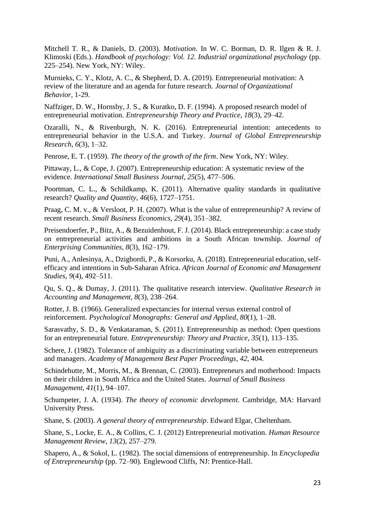Mitchell T. R., & Daniels, D. (2003). *Motivation*. In W. C. Borman, D. R. Ilgen & R. J. Klimoski (Eds.). *Handbook of psychology: Vol. 12. Industrial organizational psychology* (pp. 225–254). New York, NY: Wiley.

Murnieks, C. Y., Klotz, A. C., & Shepherd, D. A. (2019). Entrepreneurial motivation: A review of the literature and an agenda for future research. *Journal of Organizational Behavior*, 1-29.

Naffziger, D. W., Hornsby, J. S., & Kuratko, D. F. (1994). A proposed research model of entrepreneurial motivation. *Entrepreneurship Theory and Practice*, *18*(3), 29–42.

Ozaralli, N., & Rivenburgh, N. K. (2016). Entrepreneurial intention: antecedents to entrepreneurial behavior in the U.S.A. and Turkey. *Journal of Global Entrepreneurship Research*, *6*(3), 1–32.

Penrose, E. T. (1959). *The theory of the growth of the firm*. New York, NY: Wiley.

Pittaway, L., & Cope, J. (2007). Entrepreneurship education: A systematic review of the evidence. *International Small Business Journal*, *25*(5), 477–506.

Poortman, C. L., & Schildkamp, K. (2011). Alternative quality standards in qualitative research? *Quality and Quantity*, *46*(6), 1727–1751.

Praag, C. M. v., & Versloot, P. H. (2007). What is the value of entrepreneurship? A review of recent research. *Small Business Economics*, *29*(4), 351–382.

Preisendoerfer, P., Bitz, A., & Bezuidenhout, F. J. (2014). Black entrepreneurship: a case study on entrepreneurial activities and ambitions in a South African township. *Journal of Enterprising Communities*, *8*(3), 162–179.

Puni, A., Anlesinya, A., Dzigbordi, P., & Korsorku, A. (2018). Entrepreneurial education, selfefficacy and intentions in Sub-Saharan Africa. *African Journal of Economic and Management Studies*, *9*(4), 492–511.

Qu, S. Q., & Dumay, J. (2011). The qualitative research interview. *Qualitative Research in Accounting and Management*, *8*(3), 238–264.

Rotter, J. B. (1966). Generalized expectancies for internal versus external control of reinforcement. *Psychological Monographs: General and Applied*, *80*(1), 1–28.

Sarasvathy, S. D., & Venkataraman, S. (2011). Entrepreneurship as method: Open questions for an entrepreneurial future. *Entrepreneurship: Theory and Practice*, *35*(1), 113–135.

Schere, J. (1982). Tolerance of ambiguity as a discriminating variable between entrepreneurs and managers. *Academy of Management Best Paper Proceedings*, *42*, 404.

Schindehutte, M., Morris, M., & Brennan, C. (2003). Entrepreneurs and motherhood: Impacts on their children in South Africa and the United States. *Journal of Small Business Management*, *41*(1), 94–107.

Schumpeter, J. A. (1934). *The theory of economic development.* Cambridge, MA: Harvard University Press.

Shane, S. (2003). *A general theory of entrepreneurship*. Edward Elgar, Cheltenham.

Shane, S., Locke, E. A., & Collins, C. J. (2012) Entrepreneurial motivation. *Human Resource Management Review*, *13*(2), 257–279.

Shapero, A., & Sokol, L. (1982). The social dimensions of entrepreneurship. In *Encyclopedia of Entrepreneurship* (pp. 72–90). Englewood Cliffs, NJ: Prentice-Hall.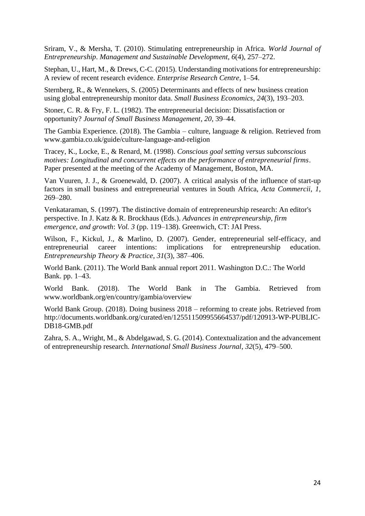Sriram, V., & Mersha, T. (2010). Stimulating entrepreneurship in Africa. *World Journal of Entrepreneurship*. *Management and Sustainable Development*, *6*(4), 257–272.

Stephan, U., Hart, M., & Drews, C-C. (2015). Understanding motivations for entrepreneurship: A review of recent research evidence. *Enterprise Research Centre*, 1–54.

Sternberg, R., & Wennekers, S. (2005) Determinants and effects of new business creation using global entrepreneurship monitor data. *Small Business Economics*, *24*(3), 193–203.

Stoner, C. R. & Fry, F. L. (1982). The entrepreneurial decision: Dissatisfaction or opportunity? *Journal of Small Business Management*, *20*, 39–44.

The Gambia Experience. (2018). The Gambia – culture, language & religion. Retrieved from [www.gambia.co.uk/guide/culture-language-and-religion](https://www.gambia.co.uk/guide/culture-language-and-religion)

Tracey, K., Locke, E., & Renard, M. (1998). *Conscious goal setting versus subconscious motives: Longitudinal and concurrent effects on the performance of entrepreneurial firms*. Paper presented at the meeting of the Academy of Management, Boston, MA.

Van Vuuren, J. J., & Groenewald, D. (2007). A critical analysis of the influence of start-up factors in small business and entrepreneurial ventures in South Africa, *Acta Commercii*, *1*, 269–280.

Venkataraman, S. (1997). The distinctive domain of entrepreneurship research: An editor's perspective. In J. Katz & R. Brockhaus (Eds.). *Advances in entrepreneurship, firm emergence, and growth*: *Vol. 3* (pp. 119–138). Greenwich, CT: JAI Press.

Wilson, F., Kickul, J., & Marlino, D. (2007). Gender, entrepreneurial self-efficacy, and entrepreneurial career intentions: implications for entrepreneurship education. *Entrepreneurship Theory & Practice*, *31*(3), 387–406.

World Bank. (2011). The World Bank annual report 2011. Washington D.C.: The World Bank. pp. 1–43.

World Bank. (2018). The World Bank in The Gambia. Retrieved from [www.worldbank.org/en/country/gambia/overview](https://www.worldbank.org/en/country/gambia/overview)

World Bank Group. (2018). Doing business 2018 – reforming to create jobs. Retrieved from [http://documents.worldbank.org/curated/en/125511509955664537/pdf/120913-WP-PUBLIC-](http://documents.worldbank.org/curated/en/125511509955664537/pdf/120913-WP-PUBLIC-DB18-GMB.pdf)[DB18-GMB.pdf](http://documents.worldbank.org/curated/en/125511509955664537/pdf/120913-WP-PUBLIC-DB18-GMB.pdf)

Zahra, S. A., Wright, M., & Abdelgawad, S. G. (2014). Contextualization and the advancement of entrepreneurship research. *International Small Business Journal*, *32*(5), 479–500.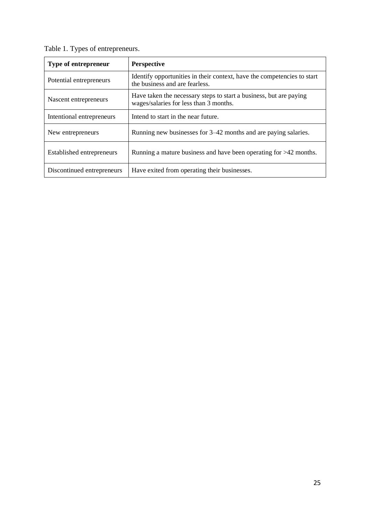| Table 1. Types of entrepreneurs. |                    |  |  |  |
|----------------------------------|--------------------|--|--|--|
| Type of entrepreneur             | <b>Perspective</b> |  |  |  |

| Type of entrepreneur                                                                                                                  | <b>Perspective</b>                                                                                        |  |
|---------------------------------------------------------------------------------------------------------------------------------------|-----------------------------------------------------------------------------------------------------------|--|
| Potential entrepreneurs                                                                                                               | Identify opportunities in their context, have the competencies to start<br>the business and are fearless. |  |
| Have taken the necessary steps to start a business, but are paying<br>Nascent entrepreneurs<br>wages/salaries for less than 3 months. |                                                                                                           |  |
| Intentional entrepreneurs                                                                                                             | Intend to start in the near future.                                                                       |  |
| New entrepreneurs                                                                                                                     | Running new businesses for 3–42 months and are paying salaries.                                           |  |
| <b>Established entrepreneurs</b>                                                                                                      | Running a mature business and have been operating for $>42$ months.                                       |  |
| Discontinued entrepreneurs                                                                                                            | Have exited from operating their businesses.                                                              |  |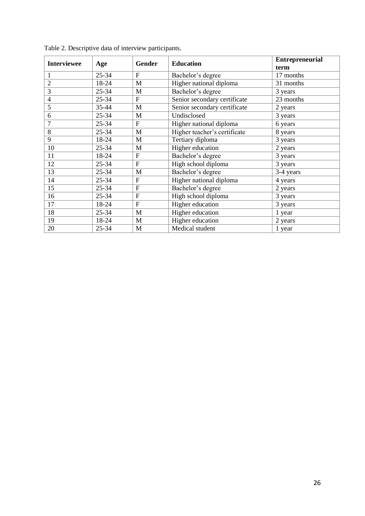| <b>Interviewee</b> | Age       | Gender         | <b>Education</b>             | <b>Entrepreneurial</b><br>term |
|--------------------|-----------|----------------|------------------------------|--------------------------------|
|                    | $25 - 34$ | $\mathbf{F}$   | Bachelor's degree            | 17 months                      |
| $\overline{2}$     | 18-24     | M              | Higher national diploma      | 31 months                      |
| 3                  | $25 - 34$ | M              | Bachelor's degree            | 3 years                        |
| $\overline{4}$     | $25 - 34$ | $\mathbf{F}$   | Senior secondary certificate | 23 months                      |
| 5                  | 35-44     | M              | Senior secondary certificate | 2 years                        |
| 6                  | $25 - 34$ | M              | Undisclosed                  | 3 years                        |
| 7                  | $25 - 34$ | $\overline{F}$ | Higher national diploma      | 6 years                        |
| 8                  | $25 - 34$ | M              | Higher teacher's certificate | 8 years                        |
| 9                  | 18-24     | M              | Tertiary diploma             | 3 years                        |
| 10                 | $25 - 34$ | M              | Higher education             | 2 years                        |
| 11                 | 18-24     | $\mathbf{F}$   | Bachelor's degree            | 3 years                        |
| 12                 | 25-34     | $\overline{F}$ | High school diploma          | 3 years                        |
| 13                 | $25 - 34$ | M              | Bachelor's degree            | 3-4 years                      |
| 14                 | $25 - 34$ | $\mathbf{F}$   | Higher national diploma      | 4 years                        |
| 15                 | $25 - 34$ | $\mathbf{F}$   | Bachelor's degree            | 2 years                        |
| 16                 | 25-34     | $\mathbf{F}$   | High school diploma          | 3 years                        |
| 17                 | 18-24     | $\mathbf{F}$   | Higher education             | 3 years                        |
| 18                 | $25 - 34$ | M              | Higher education             | 1 year                         |
| 19                 | 18-24     | M              | Higher education             | 2 years                        |
| 20                 | 25-34     | M              | Medical student              | 1 year                         |

| Table 2. Descriptive data of interview participants. |  |  |  |
|------------------------------------------------------|--|--|--|
|                                                      |  |  |  |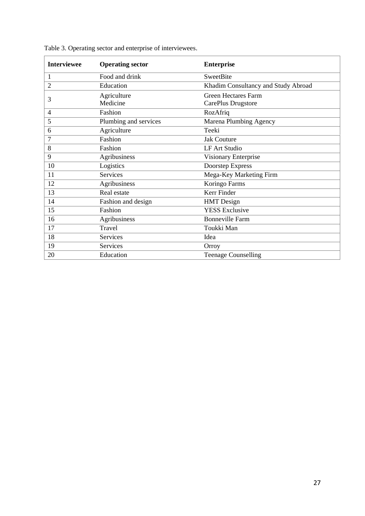| <b>Interviewee</b> | <b>Operating sector</b> | <b>Enterprise</b>                   |
|--------------------|-------------------------|-------------------------------------|
| 1                  | Food and drink          | <b>SweetBite</b>                    |
| $\overline{2}$     | Education               | Khadim Consultancy and Study Abroad |
| 3                  | Agriculture             | <b>Green Hectares Farm</b>          |
|                    | Medicine                | CarePlus Drugstore                  |
| 4                  | Fashion                 | RozAfriq                            |
| 5                  | Plumbing and services   | Marena Plumbing Agency              |
| 6                  | Agriculture             | Teeki                               |
| 7                  | Fashion                 | <b>Jak Couture</b>                  |
| 8                  | Fashion                 | <b>LF Art Studio</b>                |
| 9                  | Agribusiness            | Visionary Enterprise                |
| 10                 | Logistics               | Doorstep Express                    |
| 11                 | <b>Services</b>         | Mega-Key Marketing Firm             |
| 12                 | Agribusiness            | Koringo Farms                       |
| 13                 | Real estate             | Kerr Finder                         |
| 14                 | Fashion and design      | <b>HMT</b> Design                   |
| 15                 | Fashion                 | <b>YESS Exclusive</b>               |
| 16                 | Agribusiness            | <b>Bonneville Farm</b>              |
| 17                 | Travel                  | Toukki Man                          |
| 18                 | <b>Services</b>         | Idea                                |
| 19                 | Services                | Orroy                               |
| 20                 | Education               | <b>Teenage Counselling</b>          |

Table 3. Operating sector and enterprise of interviewees.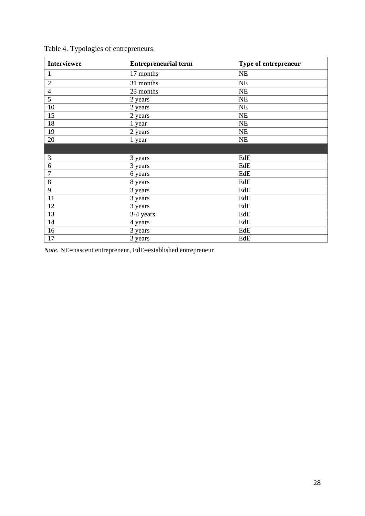| <b>Interviewee</b> | <b>Entrepreneurial term</b> | Type of entrepreneur |
|--------------------|-----------------------------|----------------------|
| $\mathbf{1}$       | 17 months                   | NE                   |
| $\overline{2}$     | 31 months                   | NE                   |
| $\overline{4}$     | 23 months                   | NE                   |
| 5                  | 2 years                     | NE                   |
| 10                 | 2 years                     | <b>NE</b>            |
| 15                 | 2 years                     | NE                   |
| 18                 | 1 year                      | NE                   |
| 19                 | 2 years                     | NE                   |
| 20                 | 1 year                      | NE                   |
|                    |                             |                      |
| 3                  | 3 years                     | EdE                  |
| 6                  | 3 years                     | EdE                  |
| $\overline{7}$     | 6 years                     | EdE                  |
| $\,8\,$            | 8 years                     | EdE                  |
| 9                  | 3 years                     | EdE                  |
| 11                 | 3 years                     | EdE                  |
| 12                 | 3 years                     | EdE                  |
| 13                 | 3-4 years                   | EdE                  |
| 14                 | 4 years                     | EdE                  |
| 16                 | 3 years                     | EdE                  |
| 17                 | 3 years                     | EdE                  |

Table 4. Typologies of entrepreneurs.

*Note*. NE=nascent entrepreneur, EdE=established entrepreneur